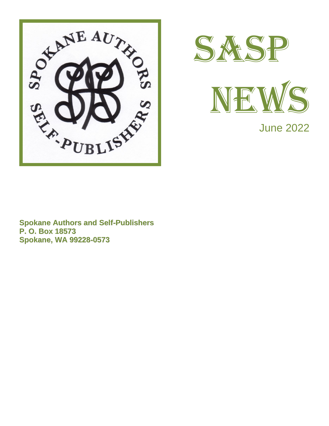





June 2022

**Spokane Authors and Self-Publishers P. O. Box 18573 Spokane, WA 99228-0573**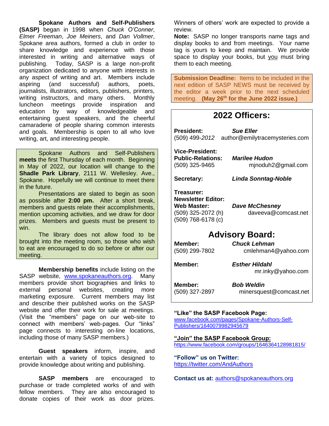**Spokane Authors and Self-Publishers (SASP)** began in 1998 when *Chuck O'Conner*, *Elmer Freeman*, *Joe Meiners*, and *Dan Vollmer*, Spokane area authors, formed a club in order to share knowledge and experience with those interested in writing and alternative ways of publishing. Today, SASP is a large non-profit organization dedicated to anyone with interests in any aspect of writing and art. Members include aspiring (and successful) authors, poets, journalists, illustrators, editors, publishers, printers, writing instructors, and many others. Monthly luncheon meetings provide inspiration and education by way of knowledgeable and entertaining guest speakers, and the cheerful camaraderie of people sharing common interests and goals. Membership is open to all who love writing, art, and interesting people.

Spokane Authors and Self-Publishers **meets** the first Thursday of each month. Beginning in May of 2022, our location will change to the **Shadle Park Library**, 2111 W. Wellesley. Ave., Spokane. Hopefully we will continue to meet there in the future.

Presentations are slated to begin as soon as possible after **2:00 pm.** After a short break, members and guests relate their accomplishments, mention upcoming activities, and we draw for door prizes. Members and guests must be present to win.

The library does not allow food to be brought into the meeting room, so those who wish to eat are encouraged to do so before or after our meeting.

**Membership benefits** include listing on the SASP website, [www.spokaneauthors.org.](http://www.spokaneauthors.org/) Many members provide short biographies and links to external personal websites, creating more marketing exposure. Current members may list and describe their published works on the SASP website and offer their work for sale at meetings. (Visit the "members" page on our web-site to connect with members' web-pages. Our "links" page connects to interesting on-line locations, including those of many SASP members.)

**Guest speakers** inform, inspire, and entertain with a variety of topics designed to provide knowledge about writing and publishing.

**SASP members** are encouraged to purchase or trade completed works of and with fellow members. They are also encouraged to donate copies of their work as door prizes.

Winners of others' work are expected to provide a review.

**Note:** SASP no longer transports name tags and display books to and from meetings. Your name tag is yours to keep and maintain. We provide space to display your books, but you must bring them to each meeting.

**Submission Deadline:** Items to be included in the next edition of SASP NEWS must be received by the editor a week prior to the next scheduled meeting. **(May 26th for the June 2022 issue.)**

## **2022 Officers:**

**President:** *Sue Eller* (509) 499-*2012* [author@emilytracemysteries.com](mailto:author@emilytracemysteries.com)

**Vice-President: Public-Relations:** *Marilee Hudon*

(509) 325-9465 mjnoduh2@gmail.com

**Secretary:** *Linda Sonntag-Noble*

**Treasurer: Newsletter Editor: Web Master:** *Dave McChesney* (509) 768-6178 (c)

(509) 325-2072 (h) [daveeva@comcast.net](mailto:daveeva@comcast.net)

## **Advisory Board:**

| <b>Member:</b><br>(509) 299-7802 | <b>Chuck Lehman</b><br>cmlehman4@yahoo.com<br><b>Esther Hildahl</b><br>mr.inky@yahoo.com |  |
|----------------------------------|------------------------------------------------------------------------------------------|--|
| Member:                          |                                                                                          |  |
| Member:<br>(509) 327-2897        | <b>Bob Weldin</b><br>minersquest@comcast.net                                             |  |

#### **"Like" the SASP Facebook Page:**

[www.facebook.com/pages/Spokane-Authors-Self-](http://www.facebook.com/pages/Spokane-Authors-Self-Publishers/1640079982945679)[Publishers/1640079982945679](http://www.facebook.com/pages/Spokane-Authors-Self-Publishers/1640079982945679)

**"Join" the SASP Facebook Group:** <https://www.facebook.com/groups/1646364128981815/>

**"Follow" us on Twitter:** <https://twitter.com/AndAuthors>

**Contact us at:** [authors@spokaneauthors.org](mailto:authors@spokaneauthors.org)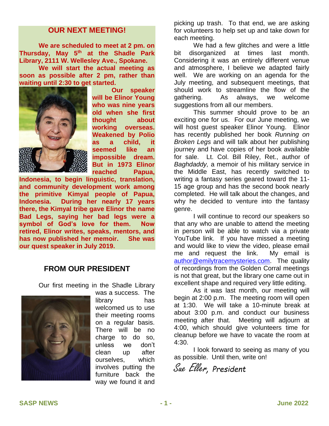#### **OUR NEXT MEETING!**

**We are scheduled to meet at 2 pm. on Thursday, May 5th at the Shadle Park Library, 2111 W. Wellesley Ave., Spokane.**

**We will start the actual meeting as soon as possible after 2 pm, rather than waiting until 2:30 to get started.**



**Our speaker will be Elinor Young who was nine years old when she first thought about working overseas. Weakened by Polio as a child, it seemed like an impossible dream. But in 1973 Elinor reached Papua,** 

**Indonesia, to begin linguistic, translation, and community development work among the primitive Kimyal people of Papua, Indonesia. During her nearly 17 years there, the Kimyal tribe gave Elinor the name Bad Legs, saying her bad legs were a symbol of God's love for them. Now retired, Elinor writes, speaks, mentors, and has now published her memoir. She was our quest speaker in July 2019.**

## **FROM OUR PRESIDENT**

Our first meeting in the Shadle Library



was a success. The library has welcomed us to use their meeting rooms on a regular basis. There will be no charge to do so, unless we don't clean up after ourselves, which involves putting the furniture back the way we found it and

picking up trash. To that end, we are asking for volunteers to help set up and take down for each meeting.

We had a few glitches and were a little bit disorganized at times last month. Considering it was an entirely different venue and atmosphere, I believe we adapted fairly well. We are working on an agenda for the July meeting, and subsequent meetings, that should work to streamline the flow of the gathering. As always, we welcome suggestions from all our members.

This summer should prove to be an exciting one for us. For our June meeting, we will host guest speaker Elinor Young. Elinor has recently published her book *Running on Broken Legs* and will talk about her publishing journey and have copies of her book available for sale. Lt. Col. Bill Riley, Ret., author of *Baghdaddy,* a memoir of his military service in the Middle East, has recently switched to writing a fantasy series geared toward the 11- 15 age group and has the second book nearly completed. He will talk about the changes, and why he decided to venture into the fantasy genre.

I will continue to record our speakers so that any who are unable to attend the meeting in person will be able to watch via a private YouTube link. If you have missed a meeting and would like to view the video, please email me and request the link. My email is [author@emilytracemysteries.com.](mailto:author@emilytracemysteries.com) The quality of recordings from the Golden Corral meetings is not that great, but the library one came out in excellent shape and required very little editing.

As it was last month, our meeting will begin at 2:00 p.m. The meeting room will open at 1:30. We will take a 10-minute break at about 3:00 p.m. and conduct our business meeting after that. Meeting will adjourn at 4:00, which should give volunteers time for cleanup before we have to vacate the room at 4:30.

I look forward to seeing as many of you as possible. Until then, write on!

Sue Eller, *President*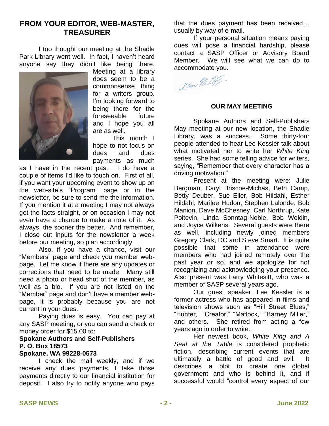## **FROM YOUR EDITOR, WEB-MASTER, TREASURER**

I too thought our meeting at the Shadle Park Library went well. In fact, I haven't heard anyone say they didn't like being there.



Meeting at a library does seem to be a commonsense thing for a writers group. I'm looking forward to being there for the foreseeable future and I hope you all are as well.

This month I hope to not focus on dues and dues payments as much

as I have in the recent past. I do have a couple of items I'd like to touch on. First of all, if you want your upcoming event to show up on the web-site's "Program" page or in the newsletter, be sure to send me the information. If you mention it at a meeting I may not always get the facts straight, or on occasion I may not even have a chance to make a note of it. As always, the sooner the better. And remember, I close out inputs for the newsletter a week before our meeting, so plan accordingly.

Also, if you have a chance, visit our "Members" page and check you member webpage. Let me know if there are any updates or corrections that need to be made. Many still need a photo or head shot of the member, as well as a bio. If you are not listed on the "Member" page and don't have a member webpage, it is probably because you are not current in your dues.

Paying dues is easy. You can pay at any SASP meeting, or you can send a check or money order for \$15.00 to:

#### **Spokane Authors and Self-Publishers P. O. Box 18573**

#### **Spokane, WA 99228-0573**

I check the mail weekly, and if we receive any dues payments, I take those payments directly to our financial institution for deposit. I also try to notify anyone who pays

that the dues payment has been received… usually by way of e-mail.

If your personal situation means paying dues will pose a financial hardship, please contact a SASP Officer or Advisory Board Member. We will see what we can do to accommodate you.

Dan Mill

#### **OUR MAY MEETING**

Spokane Authors and Self-Publishers May meeting at our new location, the Shadle Library, was a success. Some thirty-four people attended to hear Lee Kessler talk about what motivated her to write her *White King* series. She had some telling advice for writers, saying, "Remember that every character has a driving motivation."

Present at the meeting were: Julie Bergman, Caryl Briscoe-Michas, Beth Camp, Betty Deuber, Sue Eller, Bob Hildahl, Esther Hildahl, Marilee Hudon, Stephen Lalonde, Bob Manion, Dave McChesney, Carl Northrup, Kate Poitevin, Linda Sonntag-Noble, Bob Weldin, and Joyce Wilkens. Several guests were there as well, including newly joined members Gregory Clark, DC and Steve Smart. It is quite possible that some in attendance were members who had joined remotely over the past year or so, and we apologize for not recognizing and acknowledging your presence. Also present was Larry Whitesitt, who was a member of SASP several years ago.

Our guest speaker, Lee Kessler is a former actress who has appeared in films and television shows such as "Hill Street Blues," "Hunter," "Creator," "Matlock," "Barney Miller," and others. She retired from acting a few years ago in order to write.

Her newest book, *White King and A Seat at the Table* is considered prophetic fiction, describing current events that are ultimately a battle of good and evil. It describes a plot to create one global government and who is behind it, and if successful would "control every aspect of our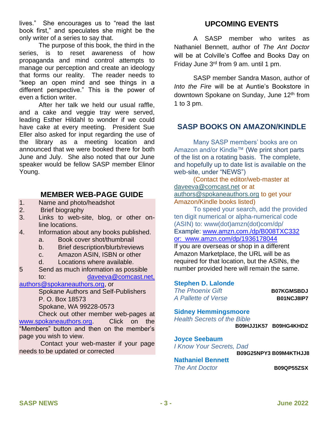lives." She encourages us to "read the last book first," and speculates she might be the only writer of a series to say that.

The purpose of this book, the third in the series, is to reset awareness of how propaganda and mind control attempts to manage our perception and create an ideology that forms our reality. The reader needs to "keep an open mind and see things in a different perspective." This is the power of even a fiction writer.

After her talk we held our usual raffle, and a cake and veggie tray were served, leading Esther Hildahl to wonder if we could have cake at every meeting. President Sue Eller also asked for input regarding the use of the library as a meeting location and announced that we were booked there for both June and July. She also noted that our June speaker would be fellow SASP member Elinor Young.

## **MEMBER WEB-PAGE GUIDE**

- 1. Name and photo/headshot
- 2. Brief biography
- 3. Links to web-site, blog, or other online locations.
- 4. Information about any books published.
	- a. Book cover shot/thumbnail
	- b. Brief description/blurb/reviews
	- c. Amazon ASIN, ISBN or other
	- d. Locations where available.
- 5 Send as much information as possible to: [daveeva@comcast.net,](mailto:daveeva@comcast.net)

### [authors@spokaneauthors.org,](mailto:authors@spokaneauthors.org) or

Spokane Authors and Self-Publishers P. O. Box 18573 Spokane, WA 99228-0573

Check out other member web-pages at [www.spokaneauthors.org.](http://www.spokaneauthors.org/) Click on the "Members" button and then on the member's page you wish to view.

Contact your web-master if your page needs to be updated or corrected

## **UPCOMING EVENTS**

A SASP member who writes as Nathaniel Bennett, author of *The Ant Doctor* will be at Colville's Coffee and Books Day on Friday June 3rd from 9 am. until 1 pm.

SASP member Sandra Mason, author of *Into the Fire* will be at Auntie's Bookstore in downtown Spokane on Sunday, June 12<sup>th</sup> from 1 to 3 pm.

## **SASP BOOKS ON AMAZON/KINDLE**

Many SASP members' books are on Amazon and/or Kindle™ (We print short parts of the list on a rotating basis. The complete, and hopefully up to date list is available on the web-site, under "NEWS")

 (Contact the editor/web-master at [daveeva@comcast.net](mailto:daveeva@comcast.net) or at [authors@spokaneauthors.org](mailto:authors@spokaneauthors.org) to get your Amazon/Kindle books listed)

To speed your search, add the provided ten digit numerical or alpha-numerical code (ASIN) to: www(dot)amzn(dot)com/dp/ Example: [www.amzn.com./dp/B008TXC332](http://www.amzn.com./dp/B008TXC332) or: [www.amzn.com/dp/1936178044](http://www.amzn.com/dp/1936178044)

If you are overseas or shop in a different Amazon Marketplace, the URL will be as required for that location, but the ASINs, the number provided here will remain the same.

#### **Stephen D. Lalonde**

| <b>The Phoenix Gift</b> | <b>B07KGMSBDJ</b> |
|-------------------------|-------------------|
| A Pallette of Verse     | B01NCJ8IP7        |
|                         |                   |

#### **Sidney Hemmingsmoore**

*Health Secrets of the Bible*

 **B09HJJ1K57 B09HG4KHDZ**

#### **Joyce Seebaum**

*I Know Your Secrets, Dad*

**B09G25NPY3 B09M4KTHJJ8**

**Nathaniel Bennett**

**The Ant Doctor B09QP55ZSX**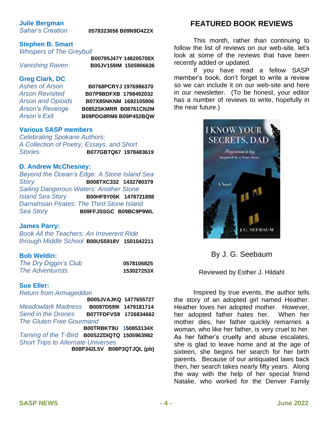## **Julie Bergman**

#### *Sahar's Creation* **0578323656 B09N9D4Z2X**

#### **Stephen B. Smart**

*Whispers of The Greybull*

 **B00795J47Y 148205700X** *Vanishing Raven* **B00JV159IM 1505906636**

# **Greg Clark, DC**

*Ashes of Arson* **B0768PCRYJ 1976986370** *Arson Revisited* **B07P9BDFXB 1798492032** *Arson and Opioids* **B07X85NKNM 1692105906** *Arson's Revenge* **B0852SKMRR B08761CN2M** *Arson's Exit* **B09PDG8RM6 B09P452BQW**

#### **Various SASP members**

*Celebrating Spokane Authors: A Collection of Poetry, Essays, and Short Stories* **B077GBTQ67 1978483619**

#### **D. Andrew McChesney:**

*Beyond the Ocean's Edge: A Stone Island Sea Story* **B008TXC332 1432780379** *Sailing Dangerous Waters: Another Stone Island Sea Story* **B00HF9Y05K 1478721898** *Darnahsian Pirates: The Third Stone Island Sea Story* **B09FFJSSGC****B09BC9P9WL**

#### **James Parry:**

*Book All the Teachers: An Irreverent Ride through Middle School* **B00US5918V 1501042211**

#### **Bob Weldin:**

| The Dry Diggin's Club   | 0578106825 |
|-------------------------|------------|
| <b>The Adventurists</b> | 153027253X |

#### **Sue Eller:**

*Return from Armageddon* 

**B005JVAJKQ 1477655727** *Meadowlark Madness* **B0097D599I 1479181714** *Send in the Drones* **B07TFDFVS9 1726834662** *The Gluten Free Gourmand*   **B00TRBKT9U 150853134X** *Taming of the T-Bird* **B00S2ZDIQTQ 1505963982** *Short Trips to Alternate Universes*  **B08P342L5V B08P3QTJQL (pb)**

## **FEATURED BOOK REVIEWS**

This month, rather than continuing to follow the list of reviews on our web-site, let's look at some of the reviews that have been recently added or updated.

If you have read a fellow SASP member's book, don't forget to write a review so we can include it on our web-site and here in our newsletter. (To be honest, your editor has a number of reviews to write, hopefully in the near future.)



By J. G. Seebaum

Reviewed by Esther J. Hildahl

Inspired by true events, the author tells the story of an adopted girl named Heather. Heather loves her adopted mother. However, her adopted father hates her. When her mother dies, her father quickly remarries a woman, who like her father, is very cruel to her. As her father's cruelty and abuse escalates, she is glad to leave home and at the age of sixteen, she begins her search for her birth parents. Because of our antiquated laws back then, her search takes nearly fifty years. Along the way with the help of her special friend Natalie, who worked for the Denver Family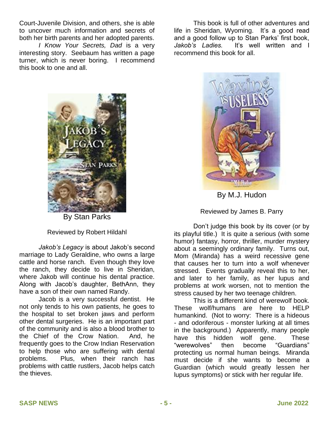Court-Juvenile Division, and others, she is able to uncover much information and secrets of both her birth parents and her adopted parents.

*I Know Your Secrets, Dad* is a very interesting story. Seebaum has written a page turner, which is never boring. I recommend this book to one and all.

This book is full of other adventures and life in Sheridan, Wyoming. It's a good read and a good follow up to Stan Parks' first book, *Jakob's Ladies.* It's well written and I recommend this book for all.



By Stan Parks

Reviewed by Robert Hildahl

*Jakob's Legacy* is about Jakob's second marriage to Lady Geraldine, who owns a large cattle and horse ranch. Even though they love the ranch, they decide to live in Sheridan, where Jakob will continue his dental practice. Along with Jacob's daughter, BethAnn, they have a son of their own named Randy.

Jacob is a very successful dentist. He not only tends to his own patients, he goes to the hospital to set broken jaws and perform other dental surgeries. He is an important part of the community and is also a blood brother to the Chief of the Crow Nation. And, he frequently goes to the Crow Indian Reservation to help those who are suffering with dental problems. Plus, when their ranch has problems with cattle rustlers, Jacob helps catch the thieves.



By M.J. Hudon

Reviewed by James B. Parry

Don't judge this book by its cover (or by its playful title.) It is quite a serious (with some humor) fantasy, horror, thriller, murder mystery about a seemingly ordinary family. Turns out, Mom (Miranda) has a weird recessive gene that causes her to turn into a wolf whenever stressed. Events gradually reveal this to her, and later to her family, as her lupus and problems at work worsen, not to mention the stress caused by her two teenage children.

This is a different kind of werewolf book. These wolf/humans are here to HELP humankind. (Not to worry: There is a hideous - and odoriferous - monster lurking at all times in the background.) Apparently, many people have this hidden wolf gene. These "werewolves" then become "Guardians" protecting us normal human beings. Miranda must decide if she wants to become a Guardian (which would greatly lessen her lupus symptoms) or stick with her regular life.